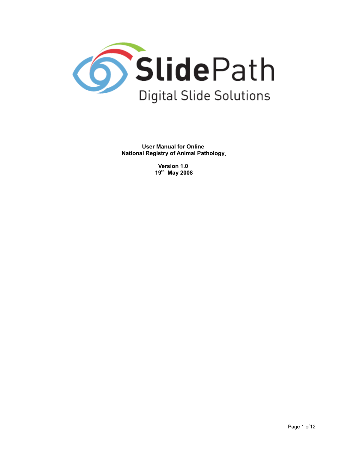

**User Manual for Online National Registry of Animal Pathology**

> **Version 1.0 19th May 2008**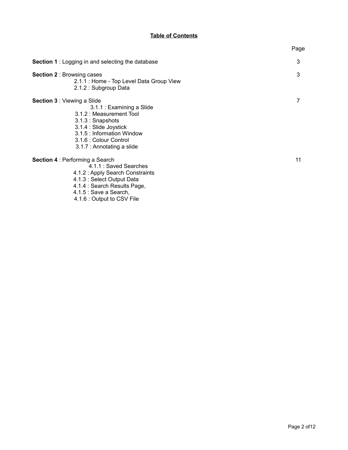# **Table of Contents**

|                                                                                                                                                                                                                                 | Page |
|---------------------------------------------------------------------------------------------------------------------------------------------------------------------------------------------------------------------------------|------|
| <b>Section 1</b> : Logging in and selecting the database                                                                                                                                                                        | 3    |
| <b>Section 2: Browsing cases</b><br>2.1.1 : Home - Top Level Data Group View<br>2.1.2 : Subgroup Data                                                                                                                           | 3    |
| <b>Section 3: Viewing a Slide</b><br>3.1.1 : Examining a Slide<br>3.1.2 : Measurement Tool<br>3.1.3 : Snapshots<br>3.1.4 : Slide Joystick<br>3.1.5 : Information Window<br>3.1.6 : Colour Control<br>3.1.7 : Annotating a slide |      |
| <b>Section 4: Performing a Search</b><br>4.1.1 : Saved Searches<br>4.1.2 : Apply Search Constraints<br>4.1.3 : Select Output Data<br>4.1.4 : Search Results Page,                                                               | 11   |

4.1.5 : Save a Search,

4.1.6 : Output to CSV File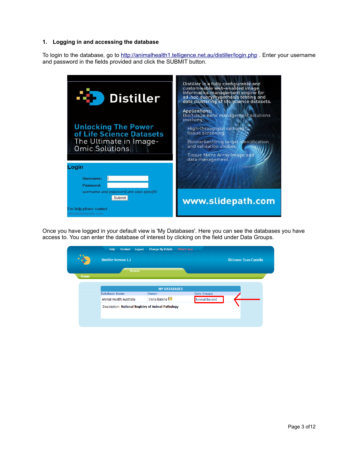### **1. Logging in and accessing the database**

To login to the database, go to<http://animalhealth1.telligence.net.au/distiller/login.php>. Enter your username and password in the fields provided and click the SUBMIT button.



Once you have logged in your default view is 'My Databases'. Here you can see the databases you have access to. You can enter the database of interest by clicking on the field under Data Groups.

|                     | Contact<br>Logout<br>Help                          | <b>Change My Details</b> | What's new           |                              |
|---------------------|----------------------------------------------------|--------------------------|----------------------|------------------------------|
| $\blacksquare$<br>æ | <b>Distiller Version 1.1</b>                       |                          |                      | <b>Welcome Sean Costello</b> |
|                     | <b>Browse</b>                                      |                          |                      |                              |
| Home                |                                                    |                          |                      |                              |
|                     |                                                    |                          |                      |                              |
|                     |                                                    | <b>MY DATABASES</b>      |                      |                              |
|                     | <b>Database Name</b>                               | Owner                    | <b>Data Groups</b>   |                              |
|                     | Animal Health Australia                            | Irena Babina             | <b>Animal Record</b> |                              |
|                     | Description: National Registry of Animal Pathology |                          |                      |                              |
|                     |                                                    |                          |                      |                              |
|                     |                                                    |                          |                      |                              |
|                     |                                                    |                          |                      |                              |
|                     |                                                    |                          |                      |                              |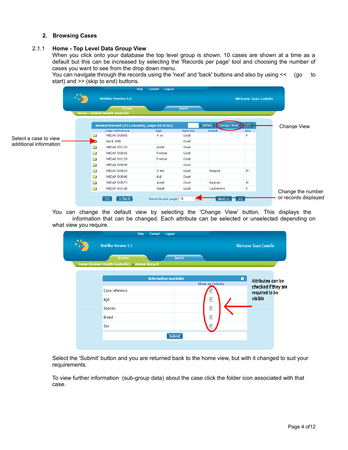### **2. Browsing Cases**

## 2.1.1 **Home - Top Level Data Group View**

When you click onto your database the top level group is shown. 10 cases are shown at a time as a default but this can be increased by selecting the 'Records per page' tool and choosing the number of cases you want to see from the drop down menu.

You can navigate through the records using the 'next' and 'back' buttons and also by using << (go to start) and >> (skip to end) buttons.

|                        |  |             |                                                 | Help<br>Contact | Logout               |                |                                     |                              |                                           |  |  |
|------------------------|--|-------------|-------------------------------------------------|-----------------|----------------------|----------------|-------------------------------------|------------------------------|-------------------------------------------|--|--|
|                        |  |             | <b>Distiller Version 1.1</b>                    |                 |                      |                |                                     | <b>Welcome Sean Costello</b> |                                           |  |  |
|                        |  |             | <b>Browse</b><br>Home » Animal Health Australia |                 |                      | Search         |                                     |                              |                                           |  |  |
|                        |  |             | Animal Record (811 records, page 68 of 82)      |                 |                      |                | <b>Refine</b><br><b>Change View</b> | المعادي<br><u>and</u>        | Change View                               |  |  |
|                        |  |             | <b>Case reference</b>                           |                 | Age                  | <b>Species</b> | <b>Breed</b>                        | <b>Sex</b>                   |                                           |  |  |
| Select a case to view  |  | È           | NRDAP D0081                                     |                 | 4 yo                 | Goat           |                                     | F                            |                                           |  |  |
| additional information |  |             |                                                 |                 | AAHL 090             |                |                                     | Goat                         |                                           |  |  |
|                        |  | È           | NRDAP D0122                                     |                 | Adult                | Goat           |                                     |                              |                                           |  |  |
|                        |  | 寙           | NRDAP D0010                                     |                 | Foetus               | Goat           |                                     |                              |                                           |  |  |
|                        |  | <b>The </b> | NRDAP D0129                                     |                 | Foetus               | Goat           |                                     |                              |                                           |  |  |
|                        |  | 灩           | NRDAP D0030                                     |                 |                      | Goat           |                                     |                              |                                           |  |  |
|                        |  | 寙           | NRDAP D0054                                     |                 | 5 mo                 | Goat           | Angora                              | М                            |                                           |  |  |
|                        |  | È           | NRDAP D0090                                     |                 | Kid                  | Goat           |                                     |                              |                                           |  |  |
|                        |  | <b>in</b>   | NRDAP D0077                                     |                 | Adult                | Goat           | Saanen                              | М                            |                                           |  |  |
|                        |  | <b>B</b>    | NRDAP D0136                                     |                 | Adult                | Goat           | Cashmere                            | F                            |                                           |  |  |
|                        |  |             | <-Back<br>$\prec$                               |                 | Records per page: 10 |                | next                                | $\geq$                       | Change the number<br>or records displayed |  |  |

You can change the default view by selecting the 'Change View' button. This displays the information that can be changed. Each attribute can be selected or unselected depending on what view you require.

|                                                 | Help                         | Logout<br>Contact            |                         |   |                              |
|-------------------------------------------------|------------------------------|------------------------------|-------------------------|---|------------------------------|
|                                                 | <b>Distiller Version 1.1</b> |                              |                         |   | <b>Welcome Sean Costello</b> |
|                                                 | <b>Browse</b>                | <b>Search</b>                |                         |   |                              |
| Home (Animal Health Australia) >> Animal Record |                              |                              |                         |   |                              |
|                                                 |                              | <b>Information Available</b> |                         | П | Attributes can be            |
|                                                 |                              |                              | <b>Show as Column</b>   |   | checked if they are          |
| Case reference                                  |                              |                              | ⊻                       |   | required to be               |
| Age                                             |                              |                              | ✔                       |   | visible                      |
| Species                                         |                              |                              | ⊻                       |   |                              |
| <b>Breed</b>                                    |                              |                              | ▽                       |   |                              |
| Sex                                             |                              |                              | $\overline{\mathsf{v}}$ |   |                              |
|                                                 |                              | <b>Submit</b>                |                         |   |                              |
|                                                 |                              |                              |                         |   |                              |

Select the 'Submit' button and you are returned back to the home view, but with it changed to suit your requirements.

To view further information (sub-group data) about the case click the folder icon associated with that case.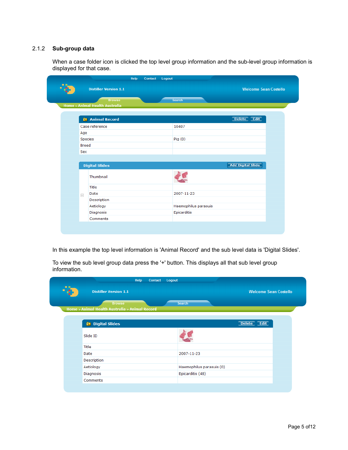### 2.1.2 **Sub-group data**

When a case folder icon is clicked the top level group information and the sub-level group information is displayed for that case.

|                | <b>Distiller Version 1.1</b>   | Help | Contact | Logout               | <b>Welcome Sean Costello</b> |
|----------------|--------------------------------|------|---------|----------------------|------------------------------|
|                | <b>Browse</b>                  |      |         | Search               |                              |
|                | Home » Animal Health Australia |      |         |                      |                              |
|                | <b>Ex</b> Animal Record        |      |         |                      | Delete Edit                  |
|                | Case reference                 |      |         | 10407                |                              |
| Age            |                                |      |         |                      |                              |
|                | Species                        |      |         | Pig(0)               |                              |
|                | <b>Breed</b>                   |      |         |                      |                              |
| Sex            |                                |      |         |                      |                              |
|                |                                |      |         |                      |                              |
|                | <b>Digital Slides</b>          |      |         |                      | <b>Add Digital Slide</b>     |
|                | Thumbnail                      |      |         |                      |                              |
|                | Title                          |      |         |                      |                              |
|                | Date                           |      |         | 2007-11-23           |                              |
|                |                                |      |         |                      |                              |
| $\overline{+}$ | Description                    |      |         |                      |                              |
|                | Aetiology                      |      |         | Haemophilus parasuis |                              |
|                | Diagnosis                      |      |         | Epicarditis          |                              |

In this example the top level information is 'Animal Record' and the sub level data is 'Digital Slides'.

To view the sub level group data press the '+' button. This displays all that sub level group information.

|                                                | Help<br>Contact<br>Logout |                          |                              |
|------------------------------------------------|---------------------------|--------------------------|------------------------------|
| <b>Distiller Version 1.1</b>                   |                           |                          | <b>Welcome Sean Costello</b> |
| <b>Browse</b>                                  |                           | Search                   |                              |
| Home » Animal Health Australia » Animal Record |                           |                          |                              |
| <b>Ex</b> Digital Slides                       |                           |                          | Delete Edit                  |
| Slide ID                                       |                           |                          |                              |
| Title                                          |                           |                          |                              |
| Date                                           |                           | 2007-11-23               |                              |
| Description                                    |                           |                          |                              |
| Aetiology                                      |                           | Haemophilus parasuis (0) |                              |
| Diagnosis                                      |                           | Epicarditis (48)         |                              |
|                                                |                           |                          |                              |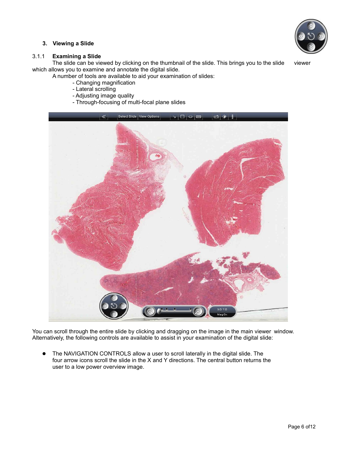

### **3. Viewing a Slide**

### 3.1.1 **Examining a Slide**

The slide can be viewed by clicking on the thumbnail of the slide. This brings you to the slide viewer which allows you to examine and annotate the digital slide.

A number of tools are available to aid your examination of slides:

- Changing magnification
- Lateral scrolling
- Adjusting image quality
- Through-focusing of multi-focal plane slides



You can scroll through the entire slide by clicking and dragging on the image in the main viewer window. Alternatively, the following controls are available to assist in your examination of the digital slide:

 The NAVIGATION CONTROLS allow a user to scroll laterally in the digital slide. The four arrow icons scroll the slide in the X and Y directions. The central button returns the user to a low power overview image.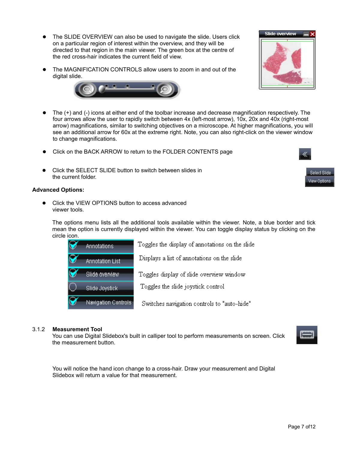Page 7 of12

- The SLIDE OVERVIEW can also be used to navigate the slide. Users click on a particular region of interest within the overview, and they will be directed to that region in the main viewer. The green box at the centre of the red cross-hair indicates the current field of view.
- The MAGNIFICATION CONTROLS allow users to zoom in and out of the digital slide.



- Click on the BACK ARROW to return to the FOLDER CONTENTS page
- Click the SELECT SLIDE button to switch between slides in the current folder.

#### **Advanced Options:**

 Click the VIEW OPTIONS button to access advanced viewer tools.

The options menu lists all the additional tools available within the viewer. Note, a blue border and tick mean the option is currently displayed within the viewer. You can toggle display status by clicking on the circle icon.

|   | <b>Annotations</b>     | Toggles the display of annotations on the slide |
|---|------------------------|-------------------------------------------------|
|   | <b>Annotation List</b> | Displays a list of annotations on the slide     |
| M | Slide overview         | Toggles display of slide overview window        |
|   | Slide Joystick         | Toggles the slide joystick control              |
|   | Navigation Controls    | Switches navigation controls to "auto-hide"     |

#### 3.1.2 **Measurement Tool**

You can use Digital Slidebox's built in calliper tool to perform measurements on screen. Click the measurement button.

You will notice the hand icon change to a cross-hair. Draw your measurement and Digital Slidebox will return a value for that measurement.







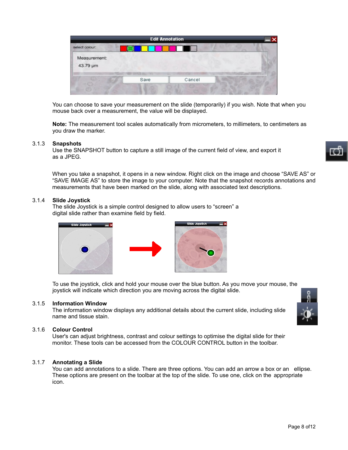|                          |      | <b>Edit Annotation</b> |  |
|--------------------------|------|------------------------|--|
| select colour:           |      |                        |  |
| Measurement:<br>43.79 µm |      |                        |  |
|                          | Save | Cancel                 |  |
|                          |      |                        |  |

You can choose to save your measurement on the slide (temporarily) if you wish. Note that when you mouse back over a measurement, the value will be displayed.

**Note:** The measurement tool scales automatically from micrometers, to millimeters, to centimeters as you draw the marker.

### 3.1.3 **Snapshots**

Use the SNAPSHOT button to capture a still image of the current field of view, and export it as a JPEG.

When you take a snapshot, it opens in a new window. Right click on the image and choose "SAVE AS" or "SAVE IMAGE AS" to store the image to your computer. Note that the snapshot records annotations and measurements that have been marked on the slide, along with associated text descriptions.

### 3.1.4 **Slide Joystick**

The slide Joystick is a simple control designed to allow users to "screen" a digital slide rather than examine field by field.



To use the joystick, click and hold your mouse over the blue button. As you move your mouse, the joystick will indicate which direction you are moving across the digital slide.

#### 3.1.5 **Information Window**

The information window displays any additional details about the current slide, including slide name and tissue stain.

### 3.1.6 **Colour Control**

User's can adjust brightness, contrast and colour settings to optimise the digital slide for their monitor. These tools can be accessed from the COLOUR CONTROL button in the toolbar.

### 3.1.7 **Annotating a Slide**

You can add annotations to a slide. There are three options. You can add an arrow a box or an ellipse. These options are present on the toolbar at the top of the slide. To use one, click on the appropriate icon.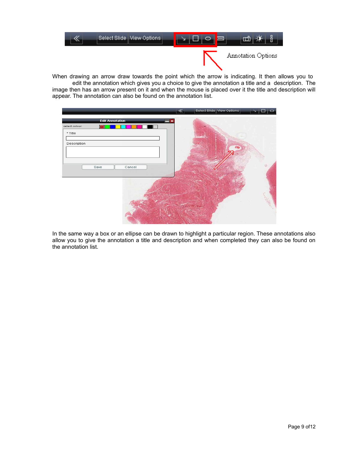

When drawing an arrow draw towards the point which the arrow is indicating. It then allows you to edit the annotation which gives you a choice to give the annotation a title and a description. The image then has an arrow present on it and when the mouse is placed over it the title and description will appear. The annotation can also be found on the annotation list.

|                        | Select Slide   View Options<br>$\ll$<br>$\circ$ |
|------------------------|-------------------------------------------------|
| <b>Edit Annotation</b> | ∣×                                              |
| select colour:<br>⋉    |                                                 |
| * Title                |                                                 |
| Description            |                                                 |
|                        |                                                 |
|                        |                                                 |
| Cancel<br>Save         | 래                                               |
|                        |                                                 |
|                        |                                                 |
|                        |                                                 |
|                        |                                                 |
|                        |                                                 |
|                        |                                                 |
|                        |                                                 |

In the same way a box or an ellipse can be drawn to highlight a particular region. These annotations also allow you to give the annotation a title and description and when completed they can also be found on the annotation list.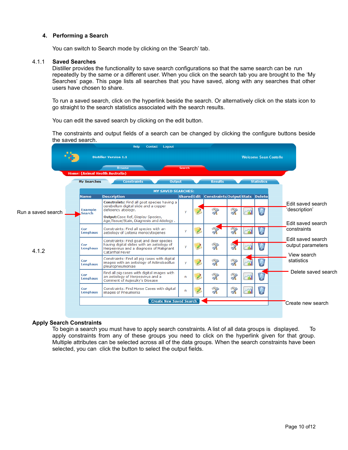### **4. Performing a Search**

You can switch to Search mode by clicking on the 'Search' tab.

#### 4.1.1 **Saved Searches**

Distiller provides the functionality to save search configurations so that the same search can be run repeatedly by the same or a different user. When you click on the search tab you are brought to the 'My Searches' page. This page lists all searches that you have saved, along with any searches that other users have chosen to share.

To run a saved search, click on the hyperlink beside the search. Or alternatively click on the stats icon to go straight to the search statistics associated with the search results.

You can edit the saved search by clicking on the edit button.

The constraints and output fields of a search can be changed by clicking the configure buttons beside the saved search.



### **Apply Search Constraints**

To begin a search you must have to apply search constraints. A list of all data groups is displayed. To apply constraints from any of these groups you need to click on the hyperlink given for that group. Multiple attributes can be selected across all of the data groups. When the search constraints have been selected, you can click the button to select the output fields.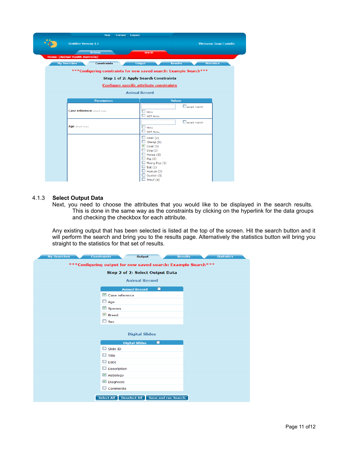| Help<br>Logout<br><b>Contact</b>                                   |                                                                                                                                                                                                    |                              |  |  |  |  |  |  |  |  |
|--------------------------------------------------------------------|----------------------------------------------------------------------------------------------------------------------------------------------------------------------------------------------------|------------------------------|--|--|--|--|--|--|--|--|
| <b>Distiller Version 1.1</b>                                       |                                                                                                                                                                                                    | <b>Welcome Sean Costello</b> |  |  |  |  |  |  |  |  |
| <b>Browse</b><br>Home: (Animal Health Australia)                   | Search                                                                                                                                                                                             |                              |  |  |  |  |  |  |  |  |
| <b>Constraints</b><br><b>My Searches</b>                           | Output<br><b>Results</b>                                                                                                                                                                           | <b>Statistics</b>            |  |  |  |  |  |  |  |  |
| ***Configuring constraints for new saved search: Example Search*** |                                                                                                                                                                                                    |                              |  |  |  |  |  |  |  |  |
| <b>Step 1 of 2: Apply Search Constraints</b>                       |                                                                                                                                                                                                    |                              |  |  |  |  |  |  |  |  |
| <b>Configure specific attribute constraints</b>                    |                                                                                                                                                                                                    |                              |  |  |  |  |  |  |  |  |
|                                                                    | <b>Animal Record</b>                                                                                                                                                                               |                              |  |  |  |  |  |  |  |  |
| <b>Parameters</b>                                                  | <b>Values</b>                                                                                                                                                                                      |                              |  |  |  |  |  |  |  |  |
| <b>Case reference</b> short text                                   | $\Box$ exact match<br><b>LI</b> NULL<br><b>NOT NULL</b>                                                                                                                                            |                              |  |  |  |  |  |  |  |  |
| Age short text                                                     | $\Box$ exact match<br><b>LI</b> NULL<br><b>NOT NULL</b>                                                                                                                                            |                              |  |  |  |  |  |  |  |  |
|                                                                    | $\Box$ Deer (2)<br>$\Box$ Sheep (0)<br>$\vee$ Goat (1)<br>Doq(3)<br>$\Box$ Horse (4)<br>$\Box$ Pig (0)<br>$\Box$ Flying Fox (0)<br>$\Box$ Bat (1)<br>$\Box$ Human (2)<br>Oyster (3)<br>Trout $(4)$ |                              |  |  |  |  |  |  |  |  |

#### 4.1.3 **Select Output Data**

Next, you need to choose the attributes that you would like to be displayed in the search results. This is done in the same way as the constraints by clicking on the hyperlink for the data groups and checking the checkbox for each attribute.

Any existing output that has been selected is listed at the top of the screen. Hit the search button and it will perform the search and bring you to the results page. Alternatively the statistics button will bring you straight to the statistics for that set of results.

| <b>My Searches</b>                                            | <b>Constraints</b><br><b>Output</b> |                                  | <b>Results</b> | <b>Statistics</b> |  |  |  |  |  |  |
|---------------------------------------------------------------|-------------------------------------|----------------------------------|----------------|-------------------|--|--|--|--|--|--|
| ***Configuring output for new saved search: Example Search*** |                                     |                                  |                |                   |  |  |  |  |  |  |
| Step 2 of 2: Select Output Data                               |                                     |                                  |                |                   |  |  |  |  |  |  |
|                                                               |                                     |                                  |                |                   |  |  |  |  |  |  |
| <b>Animal Record</b>                                          |                                     |                                  |                |                   |  |  |  |  |  |  |
|                                                               | <b>Animal Record</b>                | П                                |                |                   |  |  |  |  |  |  |
|                                                               | $\triangledown$ Case reference      |                                  |                |                   |  |  |  |  |  |  |
|                                                               | $\Box$ Age                          |                                  |                |                   |  |  |  |  |  |  |
|                                                               | $\n  Species\n$                     |                                  |                |                   |  |  |  |  |  |  |
|                                                               | $\triangleright$ Breed              |                                  |                |                   |  |  |  |  |  |  |
|                                                               | $\square$ Sex                       |                                  |                |                   |  |  |  |  |  |  |
|                                                               |                                     |                                  |                |                   |  |  |  |  |  |  |
|                                                               | <b>Digital Slides</b>               |                                  |                |                   |  |  |  |  |  |  |
|                                                               | <b>Digital Slides</b>               | □                                |                |                   |  |  |  |  |  |  |
|                                                               | $\Box$ Slide ID                     |                                  |                |                   |  |  |  |  |  |  |
|                                                               | $\Box$ Title                        |                                  |                |                   |  |  |  |  |  |  |
|                                                               | $\Box$ Date                         |                                  |                |                   |  |  |  |  |  |  |
|                                                               | $\Box$ Description                  |                                  |                |                   |  |  |  |  |  |  |
|                                                               | $\triangleright$ Aetiology          |                                  |                |                   |  |  |  |  |  |  |
|                                                               | $\n  Di agnosis\n$                  |                                  |                |                   |  |  |  |  |  |  |
|                                                               | $\Box$ Comments                     |                                  |                |                   |  |  |  |  |  |  |
|                                                               | Select All                          | Deselect All Save and run Search |                |                   |  |  |  |  |  |  |
|                                                               |                                     |                                  |                |                   |  |  |  |  |  |  |